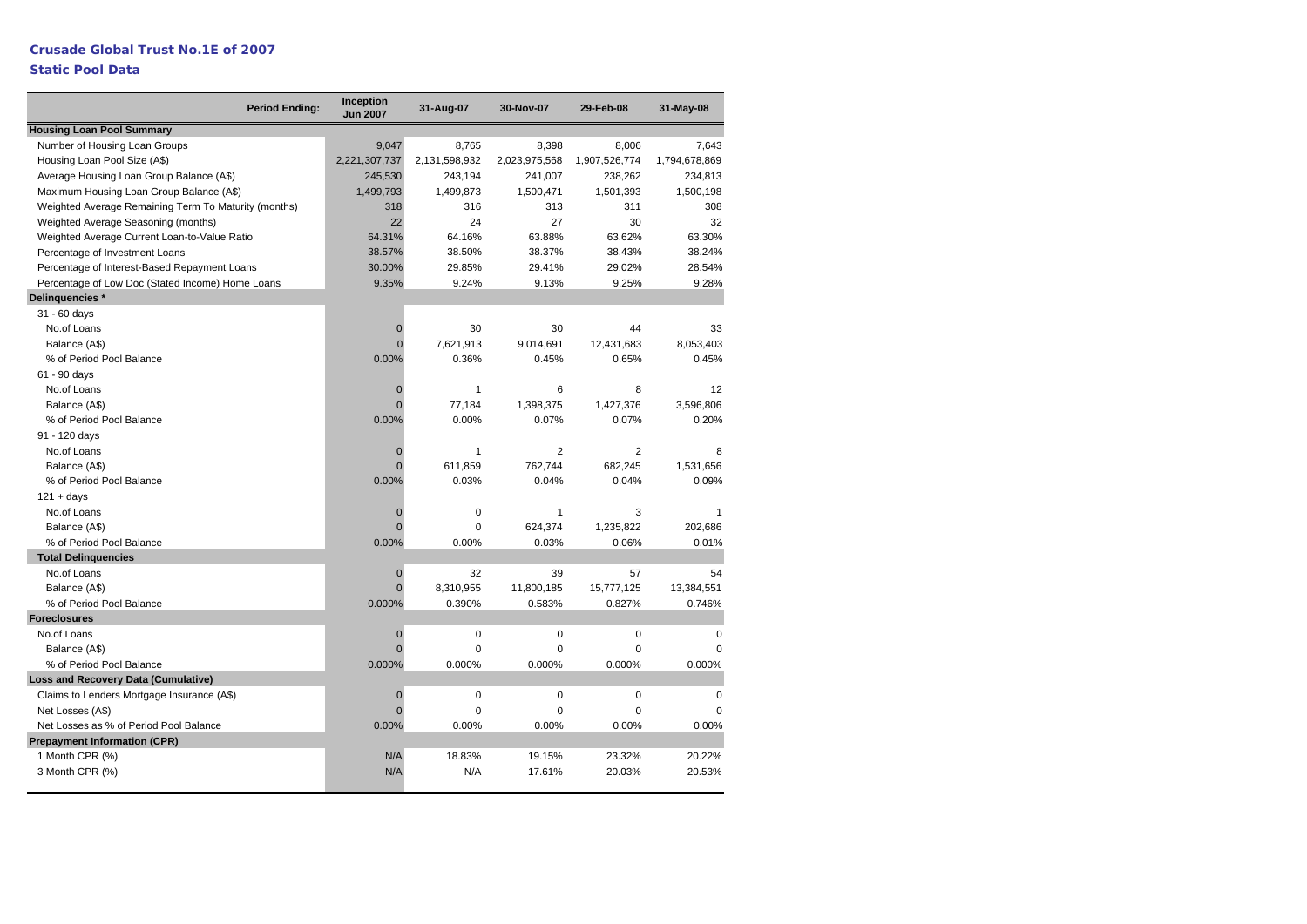# **Crusade Global Trust No.1E of 2007**

# **Static Pool Data**

|                                                      | <b>Period Ending:</b> | Inception<br><b>Jun 2007</b> | 31-Aug-07     | 30-Nov-07      | 29-Feb-08      | 31-May-08     |
|------------------------------------------------------|-----------------------|------------------------------|---------------|----------------|----------------|---------------|
| <b>Housing Loan Pool Summary</b>                     |                       |                              |               |                |                |               |
| Number of Housing Loan Groups                        |                       | 9,047                        | 8,765         | 8,398          | 8,006          | 7,643         |
| Housing Loan Pool Size (A\$)                         |                       | 2,221,307,737                | 2,131,598,932 | 2,023,975,568  | 1,907,526,774  | 1,794,678,869 |
| Average Housing Loan Group Balance (A\$)             |                       | 245,530                      | 243,194       | 241,007        | 238,262        | 234,813       |
| Maximum Housing Loan Group Balance (A\$)             |                       | 1,499,793                    | 1,499,873     | 1,500,471      | 1,501,393      | 1,500,198     |
| Weighted Average Remaining Term To Maturity (months) |                       | 318                          | 316           | 313            | 311            | 308           |
| Weighted Average Seasoning (months)                  |                       | 22                           | 24            | 27             | 30             | 32            |
| Weighted Average Current Loan-to-Value Ratio         |                       | 64.31%                       | 64.16%        | 63.88%         | 63.62%         | 63.30%        |
| Percentage of Investment Loans                       |                       | 38.57%                       | 38.50%        | 38.37%         | 38.43%         | 38.24%        |
| Percentage of Interest-Based Repayment Loans         |                       | 30.00%                       | 29.85%        | 29.41%         | 29.02%         | 28.54%        |
| Percentage of Low Doc (Stated Income) Home Loans     |                       | 9.35%                        | 9.24%         | 9.13%          | 9.25%          | 9.28%         |
| Delinquencies *                                      |                       |                              |               |                |                |               |
| 31 - 60 days                                         |                       |                              |               |                |                |               |
| No.of Loans                                          |                       | $\mathbf 0$                  | 30            | 30             | 44             | 33            |
| Balance (A\$)                                        |                       | $\Omega$                     | 7,621,913     | 9,014,691      | 12,431,683     | 8,053,403     |
| % of Period Pool Balance                             |                       | 0.00%                        | 0.36%         | 0.45%          | 0.65%          | 0.45%         |
| 61 - 90 days                                         |                       |                              |               |                |                |               |
| No.of Loans                                          |                       | $\overline{0}$               | $\mathbf{1}$  | 6              | 8              | 12            |
| Balance (A\$)                                        |                       | $\Omega$                     | 77,184        | 1,398,375      | 1,427,376      | 3,596,806     |
| % of Period Pool Balance                             |                       | 0.00%                        | 0.00%         | 0.07%          | 0.07%          | 0.20%         |
| 91 - 120 days                                        |                       |                              |               |                |                |               |
| No.of Loans                                          |                       | $\mathbf 0$                  | 1             | $\overline{2}$ | $\overline{2}$ | 8             |
| Balance (A\$)                                        |                       | $\Omega$                     | 611,859       | 762,744        | 682,245        | 1,531,656     |
| % of Period Pool Balance                             |                       | 0.00%                        | 0.03%         | 0.04%          | 0.04%          | 0.09%         |
| $121 + days$                                         |                       |                              |               |                |                |               |
| No.of Loans                                          |                       | $\overline{0}$               | 0             | $\mathbf{1}$   | 3              | $\mathbf{1}$  |
| Balance (A\$)                                        |                       | $\Omega$                     | 0             | 624,374        | 1,235,822      | 202,686       |
| % of Period Pool Balance                             |                       | 0.00%                        | 0.00%         | 0.03%          | 0.06%          | 0.01%         |
| <b>Total Delinguencies</b>                           |                       |                              |               |                |                |               |
| No.of Loans                                          |                       | $\mathbf 0$                  | 32            | 39             | 57             | 54            |
| Balance (A\$)                                        |                       | $\Omega$                     | 8,310,955     | 11,800,185     | 15,777,125     | 13,384,551    |
| % of Period Pool Balance                             |                       | 0.000%                       | 0.390%        | 0.583%         | 0.827%         | 0.746%        |
| <b>Foreclosures</b>                                  |                       |                              |               |                |                |               |
| No.of Loans                                          |                       | $\mathbf 0$                  | 0             | $\mathbf 0$    | 0              | 0             |
| Balance (A\$)                                        |                       | $\Omega$                     | $\Omega$      | $\mathbf 0$    | $\Omega$       | $\Omega$      |
| % of Period Pool Balance                             |                       | 0.000%                       | 0.000%        | 0.000%         | 0.000%         | 0.000%        |
| <b>Loss and Recovery Data (Cumulative)</b>           |                       |                              |               |                |                |               |
| Claims to Lenders Mortgage Insurance (A\$)           |                       | $\mathbf{0}$                 | 0             | $\mathbf 0$    | $\Omega$       | $\Omega$      |
| Net Losses (A\$)                                     |                       | $\Omega$                     | $\Omega$      | $\mathbf 0$    | $\Omega$       | $\Omega$      |
| Net Losses as % of Period Pool Balance               |                       | 0.00%                        | 0.00%         | 0.00%          | 0.00%          | 0.00%         |
| <b>Prepayment Information (CPR)</b>                  |                       |                              |               |                |                |               |
| 1 Month CPR (%)                                      |                       | N/A                          | 18.83%        | 19.15%         | 23.32%         | 20.22%        |
| 3 Month CPR (%)                                      |                       | N/A                          | N/A           | 17.61%         | 20.03%         | 20.53%        |
|                                                      |                       |                              |               |                |                |               |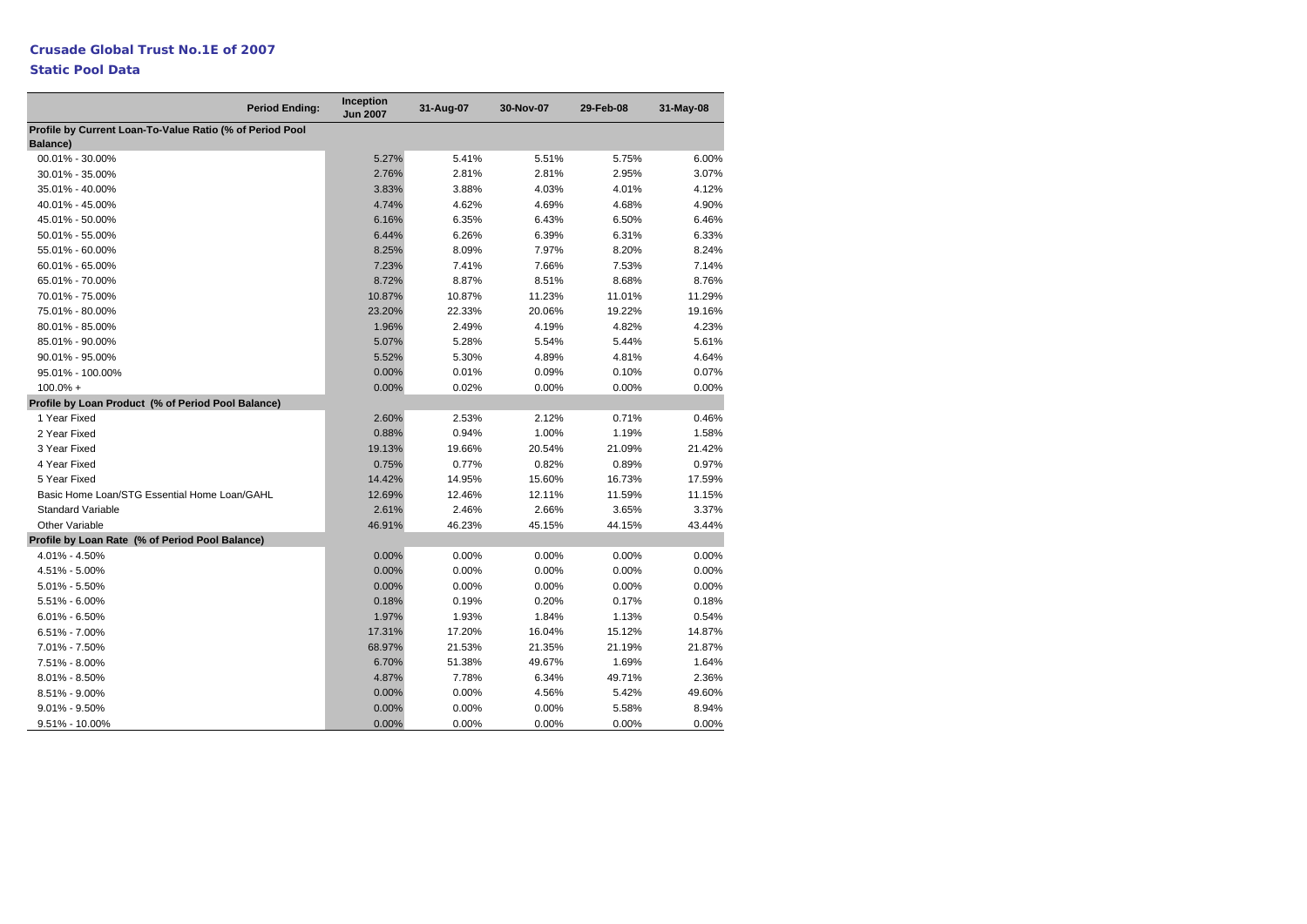# **Static Pool Data**

|                                                                      | <b>Period Ending:</b> | Inception<br><b>Jun 2007</b> | 31-Aug-07 | 30-Nov-07 | 29-Feb-08 | 31-May-08 |
|----------------------------------------------------------------------|-----------------------|------------------------------|-----------|-----------|-----------|-----------|
| Profile by Current Loan-To-Value Ratio (% of Period Pool<br>Balance) |                       |                              |           |           |           |           |
| 00.01% - 30.00%                                                      |                       | 5.27%                        | 5.41%     | 5.51%     | 5.75%     | 6.00%     |
| 30.01% - 35.00%                                                      |                       | 2.76%                        | 2.81%     | 2.81%     | 2.95%     | 3.07%     |
| 35.01% - 40.00%                                                      |                       | 3.83%                        | 3.88%     | 4.03%     | 4.01%     | 4.12%     |
| 40.01% - 45.00%                                                      |                       | 4.74%                        | 4.62%     | 4.69%     | 4.68%     | 4.90%     |
| 45.01% - 50.00%                                                      |                       | 6.16%                        | 6.35%     | 6.43%     | 6.50%     | 6.46%     |
| 50.01% - 55.00%                                                      |                       | 6.44%                        | 6.26%     | 6.39%     | 6.31%     | 6.33%     |
| 55.01% - 60.00%                                                      |                       | 8.25%                        | 8.09%     | 7.97%     | 8.20%     | 8.24%     |
| 60.01% - 65.00%                                                      |                       | 7.23%                        | 7.41%     | 7.66%     | 7.53%     | 7.14%     |
| 65.01% - 70.00%                                                      |                       | 8.72%                        | 8.87%     | 8.51%     | 8.68%     | 8.76%     |
| 70.01% - 75.00%                                                      |                       | 10.87%                       | 10.87%    | 11.23%    | 11.01%    | 11.29%    |
| 75.01% - 80.00%                                                      |                       | 23.20%                       | 22.33%    | 20.06%    | 19.22%    | 19.16%    |
| 80.01% - 85.00%                                                      |                       | 1.96%                        | 2.49%     | 4.19%     | 4.82%     | 4.23%     |
| 85.01% - 90.00%                                                      |                       | 5.07%                        | 5.28%     | 5.54%     | 5.44%     | 5.61%     |
| 90.01% - 95.00%                                                      |                       | 5.52%                        | 5.30%     | 4.89%     | 4.81%     | 4.64%     |
| 95.01% - 100.00%                                                     |                       | 0.00%                        | 0.01%     | 0.09%     | 0.10%     | 0.07%     |
| $100.0\% +$                                                          |                       | 0.00%                        | 0.02%     | 0.00%     | 0.00%     | $0.00\%$  |
| Profile by Loan Product (% of Period Pool Balance)                   |                       |                              |           |           |           |           |
| 1 Year Fixed                                                         |                       | 2.60%                        | 2.53%     | 2.12%     | 0.71%     | 0.46%     |
| 2 Year Fixed                                                         |                       | 0.88%                        | 0.94%     | 1.00%     | 1.19%     | 1.58%     |
| 3 Year Fixed                                                         |                       | 19.13%                       | 19.66%    | 20.54%    | 21.09%    | 21.42%    |
| 4 Year Fixed                                                         |                       | 0.75%                        | 0.77%     | 0.82%     | 0.89%     | 0.97%     |
| 5 Year Fixed                                                         |                       | 14.42%                       | 14.95%    | 15.60%    | 16.73%    | 17.59%    |
| Basic Home Loan/STG Essential Home Loan/GAHL                         |                       | 12.69%                       | 12.46%    | 12.11%    | 11.59%    | 11.15%    |
| <b>Standard Variable</b>                                             |                       | 2.61%                        | 2.46%     | 2.66%     | 3.65%     | 3.37%     |
| <b>Other Variable</b>                                                |                       | 46.91%                       | 46.23%    | 45.15%    | 44.15%    | 43.44%    |
| Profile by Loan Rate (% of Period Pool Balance)                      |                       |                              |           |           |           |           |
| 4.01% - 4.50%                                                        |                       | 0.00%                        | 0.00%     | 0.00%     | 0.00%     | 0.00%     |
| 4.51% - 5.00%                                                        |                       | 0.00%                        | 0.00%     | 0.00%     | 0.00%     | 0.00%     |
| $5.01\% - 5.50\%$                                                    |                       | 0.00%                        | 0.00%     | 0.00%     | 0.00%     | $0.00\%$  |
| 5.51% - 6.00%                                                        |                       | 0.18%                        | 0.19%     | 0.20%     | 0.17%     | 0.18%     |
| $6.01\% - 6.50\%$                                                    |                       | 1.97%                        | 1.93%     | 1.84%     | 1.13%     | 0.54%     |
| 6.51% - 7.00%                                                        |                       | 17.31%                       | 17.20%    | 16.04%    | 15.12%    | 14.87%    |
| 7.01% - 7.50%                                                        |                       | 68.97%                       | 21.53%    | 21.35%    | 21.19%    | 21.87%    |
| 7.51% - 8.00%                                                        |                       | 6.70%                        | 51.38%    | 49.67%    | 1.69%     | 1.64%     |
| 8.01% - 8.50%                                                        |                       | 4.87%                        | 7.78%     | 6.34%     | 49.71%    | 2.36%     |
| 8.51% - 9.00%                                                        |                       | 0.00%                        | 0.00%     | 4.56%     | 5.42%     | 49.60%    |
| $9.01\% - 9.50\%$                                                    |                       | 0.00%                        | 0.00%     | 0.00%     | 5.58%     | 8.94%     |
| 9.51% - 10.00%                                                       |                       | 0.00%                        | 0.00%     | 0.00%     | 0.00%     | 0.00%     |